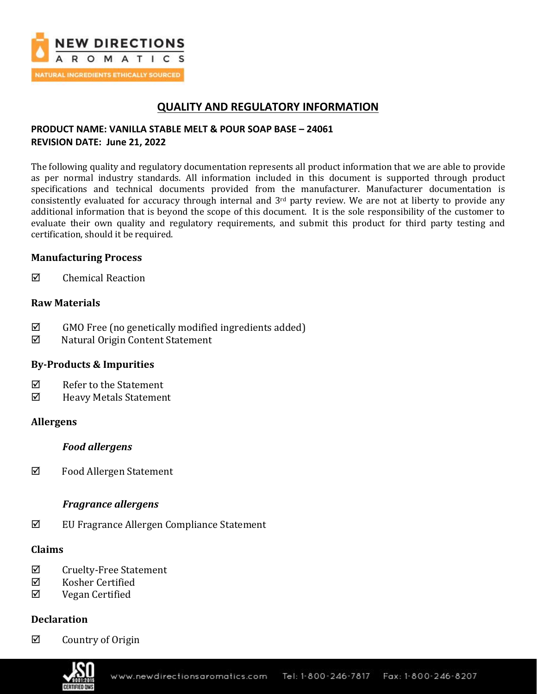

## **QUALITY AND REGULATORY INFORMATION**

## **PRODUCT NAME: VANILLA STABLE MELT & POUR SOAP BASE – 24061 REVISION DATE: June 21, 2022**

The following quality and regulatory documentation represents all product information that we are able to provide as per normal industry standards. All information included in this document is supported through product specifications and technical documents provided from the manufacturer. Manufacturer documentation is consistently evaluated for accuracy through internal and  $3<sup>rd</sup>$  party review. We are not at liberty to provide any additional information that is beyond the scope of this document. It is the sole responsibility of the customer to evaluate their own quality and regulatory requirements, and submit this product for third party testing and certification, should it be required.

## **Manufacturing Process**

 $\boxtimes$  Chemical Reaction

### **Raw Materials**

- $\boxtimes$  GMO Free (no genetically modified ingredients added)
- Natural Origin Content Statement

## **By-Products & Impurities**

- $\nabla$  Refer to the Statement
- Heavy Metals Statement

### **Allergens**

### *Food allergens*

Food Allergen Statement

### *Fragrance allergens*

EU Fragrance Allergen Compliance Statement

### **Claims**

- $\boxtimes$  Cruelty-Free Statement
- $\boxtimes$  Kosher Certified
- Vegan Certified

## **Declaration**

 $\boxtimes$  Country of Origin

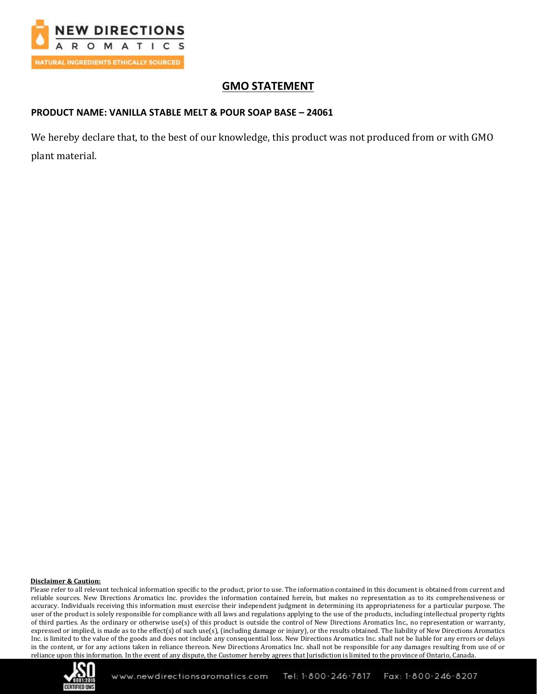

# **GMO STATEMENT**

### **PRODUCT NAME: VANILLA STABLE MELT & POUR SOAP BASE – 24061**

We hereby declare that, to the best of our knowledge, this product was not produced from or with GMO plant material.

### **Disclaimer & Caution:**

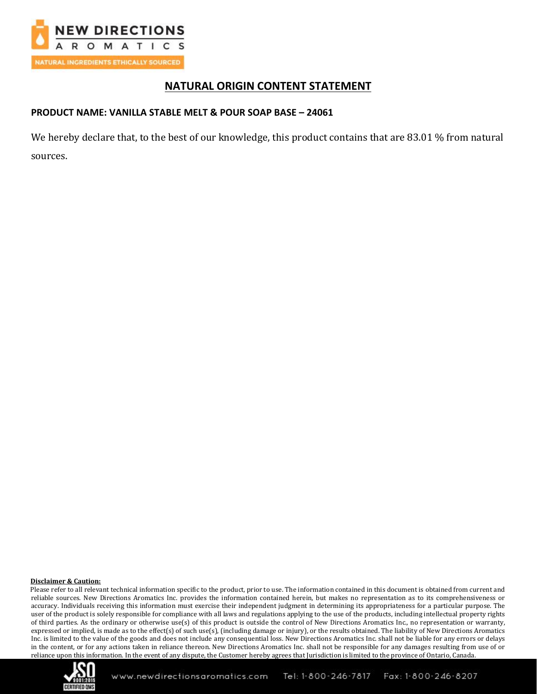

## **NATURAL ORIGIN CONTENT STATEMENT**

### **PRODUCT NAME: VANILLA STABLE MELT & POUR SOAP BASE – 24061**

We hereby declare that, to the best of our knowledge, this product contains that are 83.01 % from natural sources.

#### **Disclaimer & Caution:**

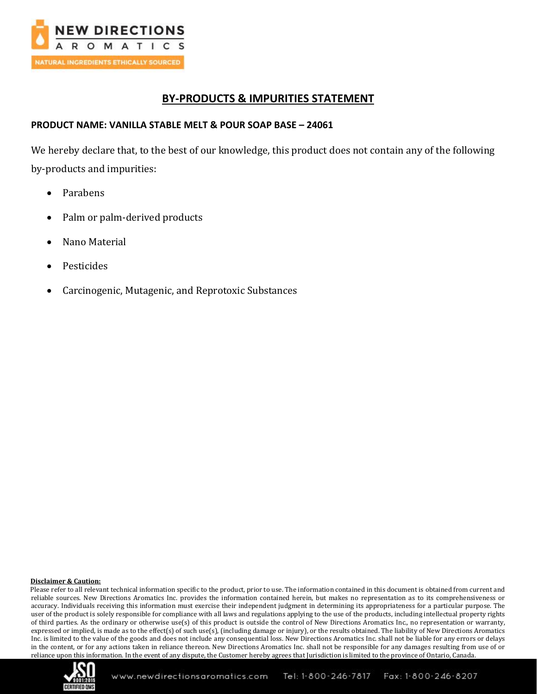

## **BY-PRODUCTS & IMPURITIES STATEMENT**

### **PRODUCT NAME: VANILLA STABLE MELT & POUR SOAP BASE – 24061**

We hereby declare that, to the best of our knowledge, this product does not contain any of the following by-products and impurities:

- Parabens
- Palm or palm-derived products
- Nano Material
- **Pesticides**
- Carcinogenic, Mutagenic, and Reprotoxic Substances

### **Disclaimer & Caution:**

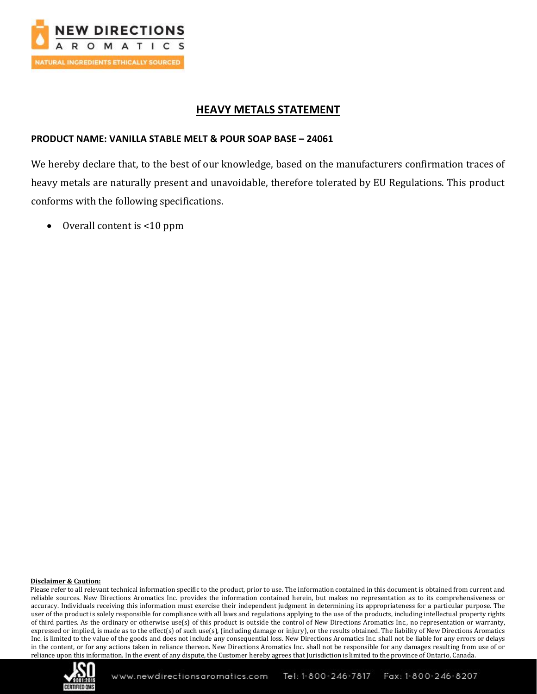

## **HEAVY METALS STATEMENT**

### **PRODUCT NAME: VANILLA STABLE MELT & POUR SOAP BASE – 24061**

We hereby declare that, to the best of our knowledge, based on the manufacturers confirmation traces of heavy metals are naturally present and unavoidable, therefore tolerated by EU Regulations. This product conforms with the following specifications.

• Overall content is <10 ppm

### **Disclaimer & Caution:**

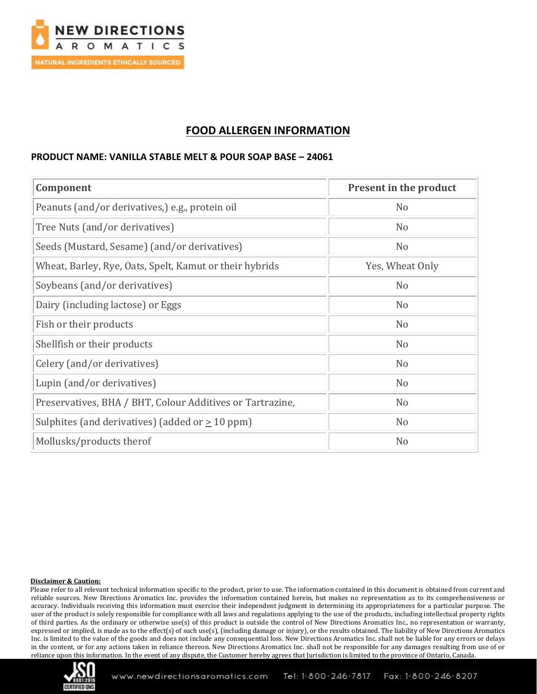

## **FOOD ALLERGEN INFORMATION**

### **PRODUCT NAME: VANILLA STABLE MELT & POUR SOAP BASE – 24061**

| Component                                                 | <b>Present in the product</b> |
|-----------------------------------------------------------|-------------------------------|
| Peanuts (and/or derivatives,) e.g., protein oil           | N <sub>o</sub>                |
| Tree Nuts (and/or derivatives)                            | N <sub>o</sub>                |
| Seeds (Mustard, Sesame) (and/or derivatives)              | N <sub>o</sub>                |
| Wheat, Barley, Rye, Oats, Spelt, Kamut or their hybrids   | Yes, Wheat Only               |
| Soybeans (and/or derivatives)                             | N <sub>o</sub>                |
| Dairy (including lactose) or Eggs                         | N <sub>o</sub>                |
| Fish or their products                                    | N <sub>o</sub>                |
| Shellfish or their products                               | N <sub>o</sub>                |
| Celery (and/or derivatives)                               | N <sub>o</sub>                |
| Lupin (and/or derivatives)                                | N <sub>o</sub>                |
| Preservatives, BHA / BHT, Colour Additives or Tartrazine, | N <sub>o</sub>                |
| Sulphites (and derivatives) (added or $\geq 10$ ppm)      | N <sub>o</sub>                |
| Mollusks/products therof                                  | N <sub>o</sub>                |

### **Disclaimer & Caution:**

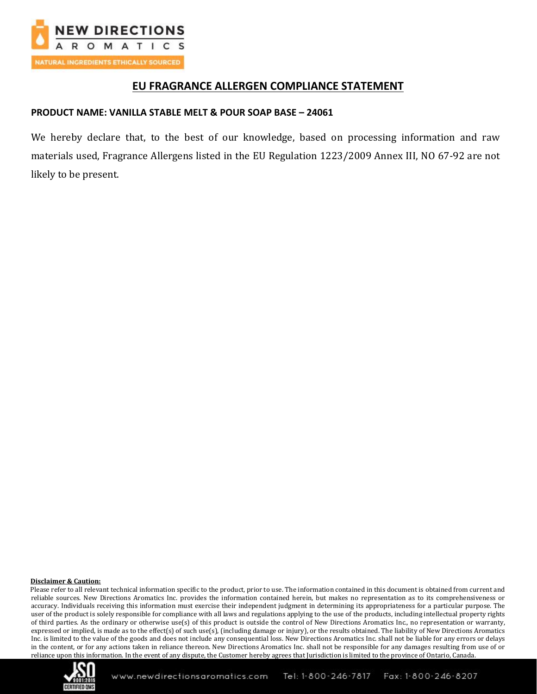

## **EU FRAGRANCE ALLERGEN COMPLIANCE STATEMENT**

### **PRODUCT NAME: VANILLA STABLE MELT & POUR SOAP BASE – 24061**

We hereby declare that, to the best of our knowledge, based on processing information and raw materials used, Fragrance Allergens listed in the EU Regulation 1223/2009 Annex III, NO 67-92 are not likely to be present.

### **Disclaimer & Caution:**

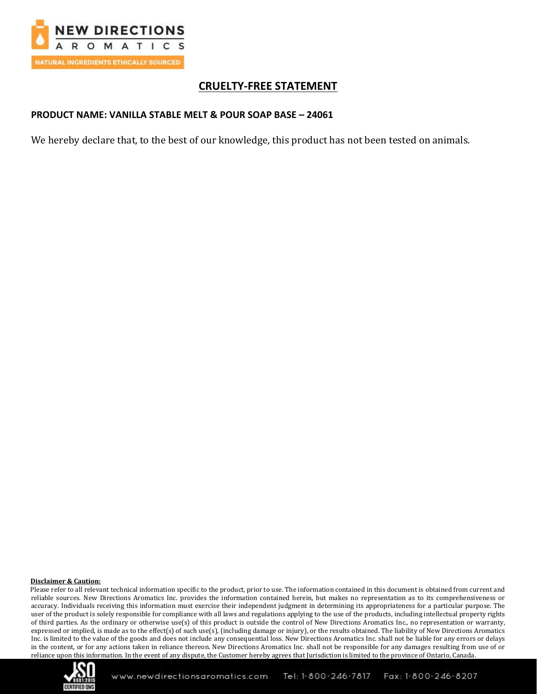

# **CRUELTY-FREE STATEMENT**

### **PRODUCT NAME: VANILLA STABLE MELT & POUR SOAP BASE – 24061**

We hereby declare that, to the best of our knowledge, this product has not been tested on animals.

### **Disclaimer & Caution:**

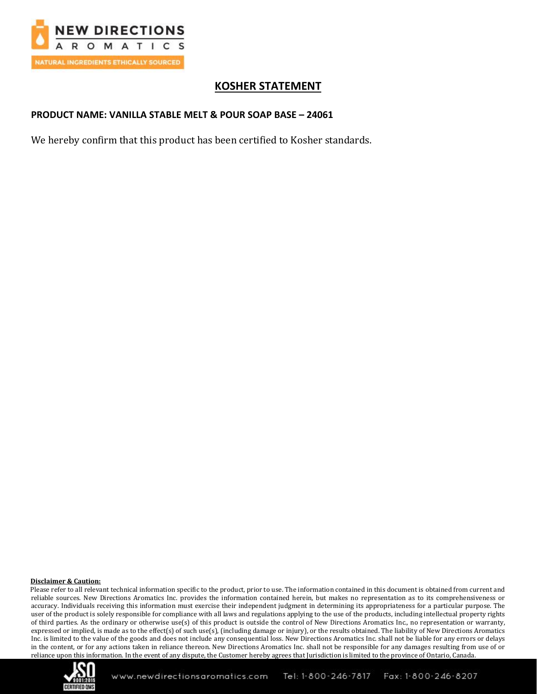

# **KOSHER STATEMENT**

### **PRODUCT NAME: VANILLA STABLE MELT & POUR SOAP BASE – 24061**

We hereby confirm that this product has been certified to Kosher standards.

#### **Disclaimer & Caution:**

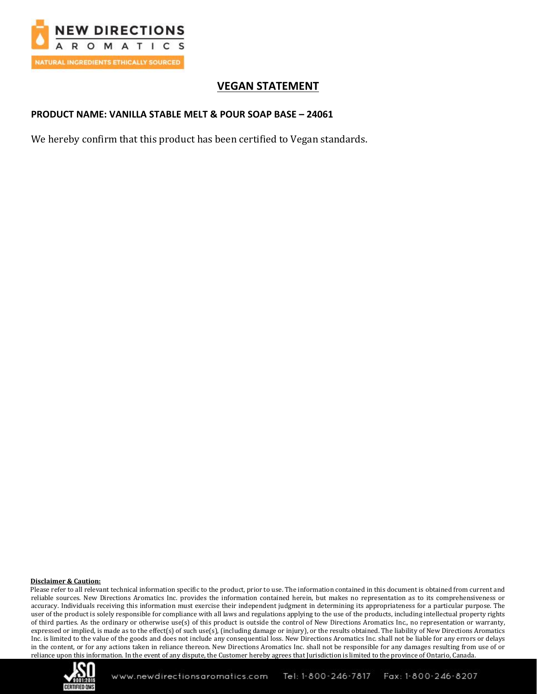

# **VEGAN STATEMENT**

### **PRODUCT NAME: VANILLA STABLE MELT & POUR SOAP BASE – 24061**

We hereby confirm that this product has been certified to Vegan standards.

### **Disclaimer & Caution:**